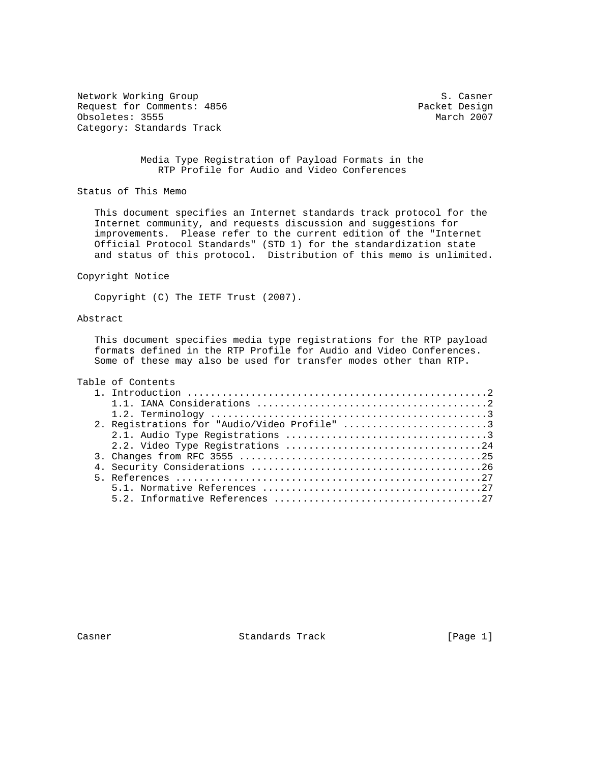Network Working Group S. Casner Request for Comments: 4856 Packet Design<br>  $\alpha$  Design Obsoletes: 3555 Obsoletes: 3555 Category: Standards Track

### Media Type Registration of Payload Formats in the RTP Profile for Audio and Video Conferences

Status of This Memo

 This document specifies an Internet standards track protocol for the Internet community, and requests discussion and suggestions for improvements. Please refer to the current edition of the "Internet Official Protocol Standards" (STD 1) for the standardization state and status of this protocol. Distribution of this memo is unlimited.

#### Copyright Notice

Copyright (C) The IETF Trust (2007).

### Abstract

 This document specifies media type registrations for the RTP payload formats defined in the RTP Profile for Audio and Video Conferences. Some of these may also be used for transfer modes other than RTP.

# Table of Contents

| 2. Registrations for "Audio/Video Profile" 3 |
|----------------------------------------------|
|                                              |
|                                              |
|                                              |
|                                              |
|                                              |
|                                              |
|                                              |

Casner **Standards Track** [Page 1]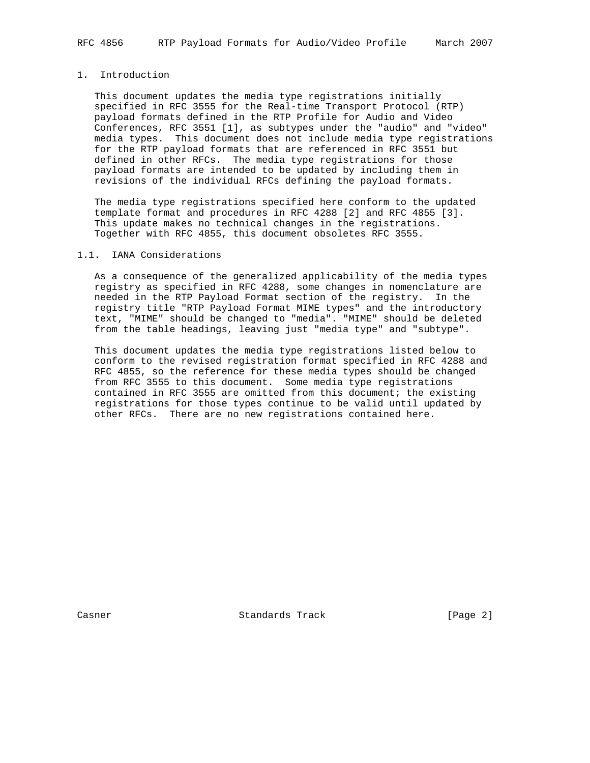## 1. Introduction

 This document updates the media type registrations initially specified in RFC 3555 for the Real-time Transport Protocol (RTP) payload formats defined in the RTP Profile for Audio and Video Conferences, RFC 3551 [1], as subtypes under the "audio" and "video" media types. This document does not include media type registrations for the RTP payload formats that are referenced in RFC 3551 but defined in other RFCs. The media type registrations for those payload formats are intended to be updated by including them in revisions of the individual RFCs defining the payload formats.

 The media type registrations specified here conform to the updated template format and procedures in RFC 4288 [2] and RFC 4855 [3]. This update makes no technical changes in the registrations. Together with RFC 4855, this document obsoletes RFC 3555.

### 1.1. IANA Considerations

 As a consequence of the generalized applicability of the media types registry as specified in RFC 4288, some changes in nomenclature are needed in the RTP Payload Format section of the registry. In the registry title "RTP Payload Format MIME types" and the introductory text, "MIME" should be changed to "media". "MIME" should be deleted from the table headings, leaving just "media type" and "subtype".

 This document updates the media type registrations listed below to conform to the revised registration format specified in RFC 4288 and RFC 4855, so the reference for these media types should be changed from RFC 3555 to this document. Some media type registrations contained in RFC 3555 are omitted from this document; the existing registrations for those types continue to be valid until updated by other RFCs. There are no new registrations contained here.

Casner **Standards Track** [Page 2]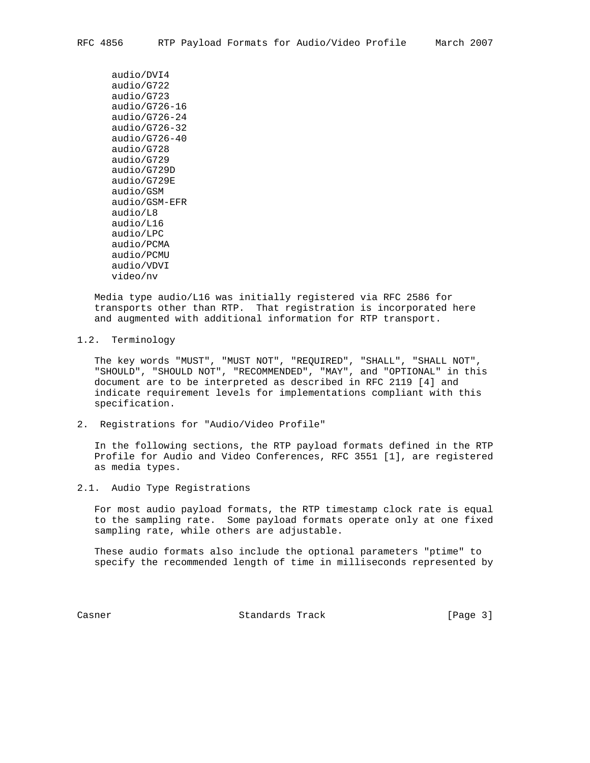```
 audio/DVI4
audio/G722
audio/G723
audio/G726-16
audio/G726-24
audio/G726-32
audio/G726-40
audio/G728
audio/G729
audio/G729D
audio/G729E
audio/GSM
audio/GSM-EFR
audio/L8
audio/L16
audio/LPC
audio/PCMA
audio/PCMU
audio/VDVI
video/nv
```
 Media type audio/L16 was initially registered via RFC 2586 for transports other than RTP. That registration is incorporated here and augmented with additional information for RTP transport.

1.2. Terminology

 The key words "MUST", "MUST NOT", "REQUIRED", "SHALL", "SHALL NOT", "SHOULD", "SHOULD NOT", "RECOMMENDED", "MAY", and "OPTIONAL" in this document are to be interpreted as described in RFC 2119 [4] and indicate requirement levels for implementations compliant with this specification.

2. Registrations for "Audio/Video Profile"

 In the following sections, the RTP payload formats defined in the RTP Profile for Audio and Video Conferences, RFC 3551 [1], are registered as media types.

2.1. Audio Type Registrations

 For most audio payload formats, the RTP timestamp clock rate is equal to the sampling rate. Some payload formats operate only at one fixed sampling rate, while others are adjustable.

 These audio formats also include the optional parameters "ptime" to specify the recommended length of time in milliseconds represented by

Casner **Standards Track** [Page 3]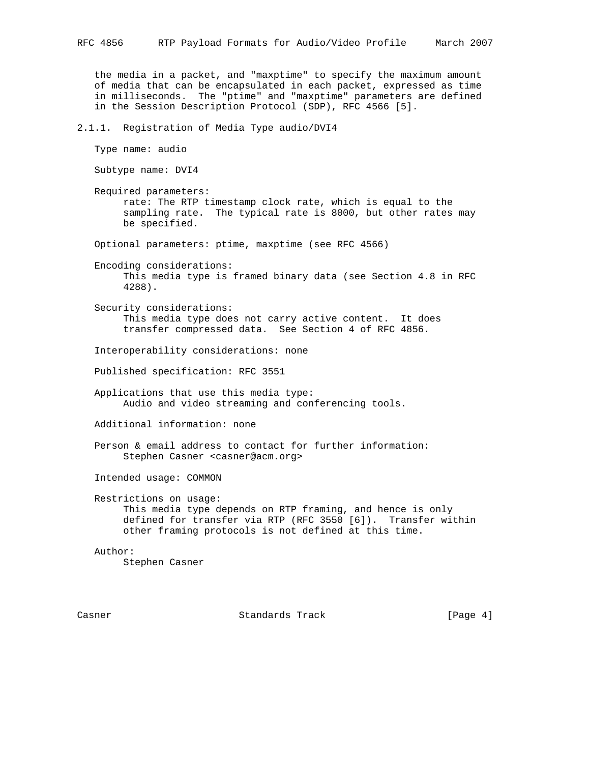the media in a packet, and "maxptime" to specify the maximum amount of media that can be encapsulated in each packet, expressed as time in milliseconds. The "ptime" and "maxptime" parameters are defined in the Session Description Protocol (SDP), RFC 4566 [5].

2.1.1. Registration of Media Type audio/DVI4

Type name: audio

Subtype name: DVI4

 Required parameters: rate: The RTP timestamp clock rate, which is equal to the sampling rate. The typical rate is 8000, but other rates may be specified.

Optional parameters: ptime, maxptime (see RFC 4566)

 Encoding considerations: This media type is framed binary data (see Section 4.8 in RFC 4288).

 Security considerations: This media type does not carry active content. It does transfer compressed data. See Section 4 of RFC 4856.

Interoperability considerations: none

Published specification: RFC 3551

 Applications that use this media type: Audio and video streaming and conferencing tools.

Additional information: none

 Person & email address to contact for further information: Stephen Casner <casner@acm.org>

Intended usage: COMMON

 Restrictions on usage: This media type depends on RTP framing, and hence is only defined for transfer via RTP (RFC 3550 [6]). Transfer within other framing protocols is not defined at this time.

Author:

Stephen Casner

Casner **Standards Track** [Page 4]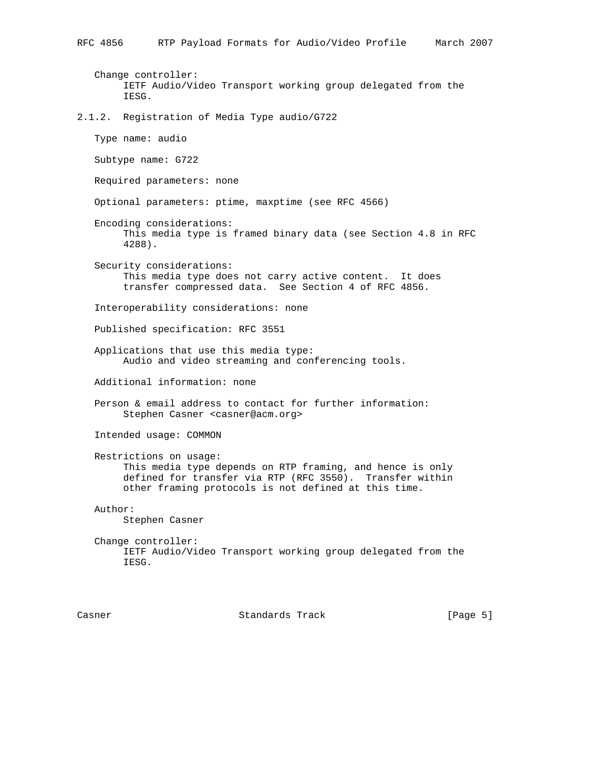Change controller: IETF Audio/Video Transport working group delegated from the IESG.

2.1.2. Registration of Media Type audio/G722

Type name: audio

Subtype name: G722

Required parameters: none

Optional parameters: ptime, maxptime (see RFC 4566)

- Encoding considerations: This media type is framed binary data (see Section 4.8 in RFC 4288).
- Security considerations: This media type does not carry active content. It does transfer compressed data. See Section 4 of RFC 4856.

Interoperability considerations: none

Published specification: RFC 3551

 Applications that use this media type: Audio and video streaming and conferencing tools.

Additional information: none

 Person & email address to contact for further information: Stephen Casner <casner@acm.org>

Intended usage: COMMON

 Restrictions on usage: This media type depends on RTP framing, and hence is only defined for transfer via RTP (RFC 3550). Transfer within other framing protocols is not defined at this time.

Author:

Stephen Casner

 Change controller: IETF Audio/Video Transport working group delegated from the IESG.

Casner **Standards Track** [Page 5]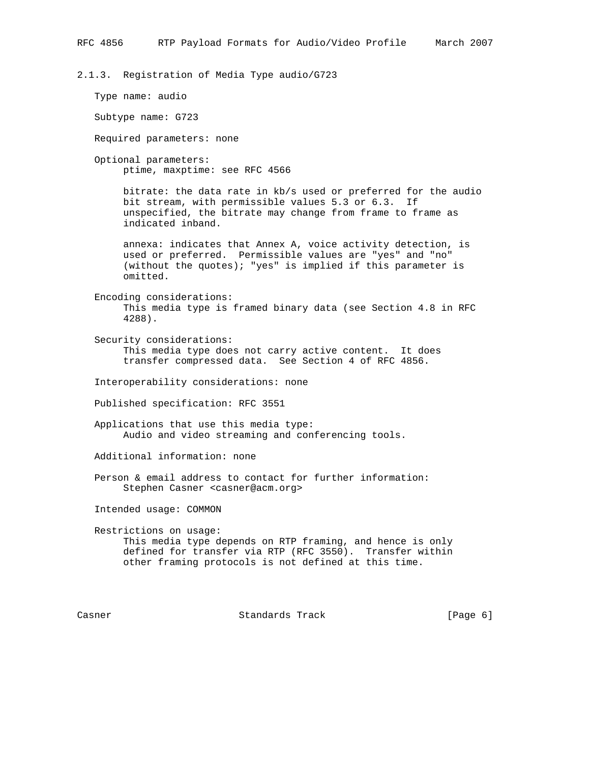2.1.3. Registration of Media Type audio/G723

Type name: audio

Subtype name: G723

Required parameters: none

 Optional parameters: ptime, maxptime: see RFC 4566

> bitrate: the data rate in kb/s used or preferred for the audio bit stream, with permissible values 5.3 or 6.3. If unspecified, the bitrate may change from frame to frame as indicated inband.

 annexa: indicates that Annex A, voice activity detection, is used or preferred. Permissible values are "yes" and "no" (without the quotes); "yes" is implied if this parameter is omitted.

 Encoding considerations: This media type is framed binary data (see Section 4.8 in RFC 4288).

 Security considerations: This media type does not carry active content. It does transfer compressed data. See Section 4 of RFC 4856.

Interoperability considerations: none

Published specification: RFC 3551

 Applications that use this media type: Audio and video streaming and conferencing tools.

Additional information: none

 Person & email address to contact for further information: Stephen Casner <casner@acm.org>

Intended usage: COMMON

 Restrictions on usage: This media type depends on RTP framing, and hence is only defined for transfer via RTP (RFC 3550). Transfer within other framing protocols is not defined at this time.

Casner **Standards Track** [Page 6]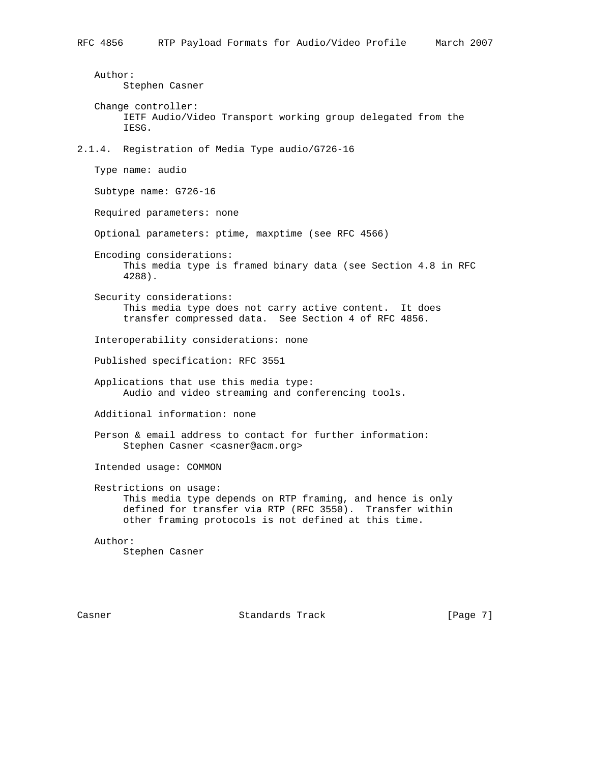Author: Stephen Casner Change controller: IETF Audio/Video Transport working group delegated from the IESG. 2.1.4. Registration of Media Type audio/G726-16 Type name: audio Subtype name: G726-16 Required parameters: none Optional parameters: ptime, maxptime (see RFC 4566) Encoding considerations: This media type is framed binary data (see Section 4.8 in RFC 4288). Security considerations: This media type does not carry active content. It does transfer compressed data. See Section 4 of RFC 4856. Interoperability considerations: none Published specification: RFC 3551 Applications that use this media type: Audio and video streaming and conferencing tools. Additional information: none Person & email address to contact for further information: Stephen Casner <casner@acm.org> Intended usage: COMMON Restrictions on usage: This media type depends on RTP framing, and hence is only defined for transfer via RTP (RFC 3550). Transfer within other framing protocols is not defined at this time. Author: Stephen Casner

Casner **Standards Track** [Page 7]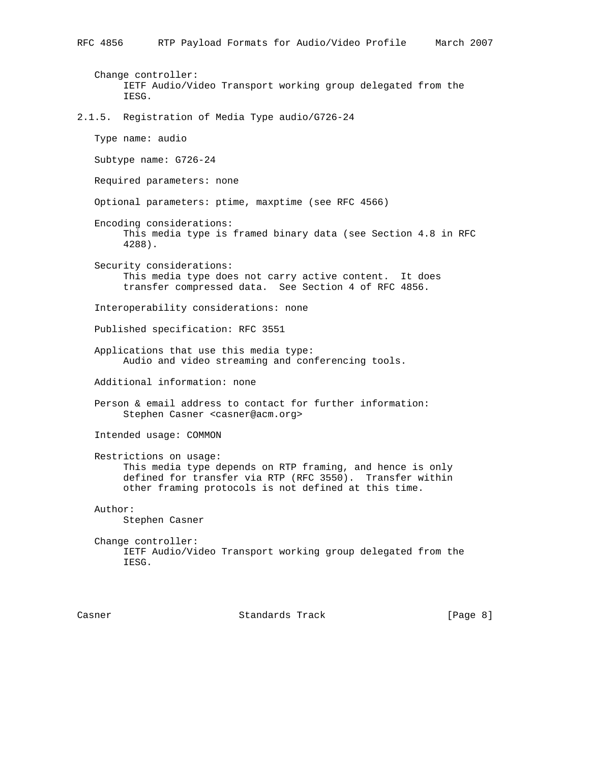Change controller: IETF Audio/Video Transport working group delegated from the IESG.

2.1.5. Registration of Media Type audio/G726-24

Type name: audio

Subtype name: G726-24

Required parameters: none

Optional parameters: ptime, maxptime (see RFC 4566)

- Encoding considerations: This media type is framed binary data (see Section 4.8 in RFC 4288).
- Security considerations: This media type does not carry active content. It does transfer compressed data. See Section 4 of RFC 4856.

Interoperability considerations: none

Published specification: RFC 3551

 Applications that use this media type: Audio and video streaming and conferencing tools.

Additional information: none

 Person & email address to contact for further information: Stephen Casner <casner@acm.org>

Intended usage: COMMON

 Restrictions on usage: This media type depends on RTP framing, and hence is only defined for transfer via RTP (RFC 3550). Transfer within other framing protocols is not defined at this time.

Author:

Stephen Casner

 Change controller: IETF Audio/Video Transport working group delegated from the IESG.

Casner **Standards Track** [Page 8]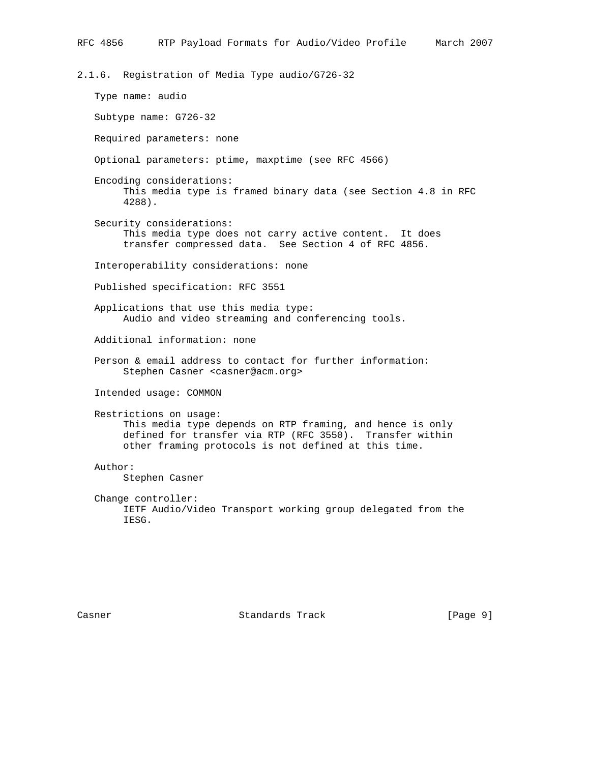2.1.6. Registration of Media Type audio/G726-32

 Type name: audio Subtype name: G726-32 Required parameters: none Optional parameters: ptime, maxptime (see RFC 4566) Encoding considerations: This media type is framed binary data (see Section 4.8 in RFC 4288). Security considerations: This media type does not carry active content. It does transfer compressed data. See Section 4 of RFC 4856. Interoperability considerations: none Published specification: RFC 3551 Applications that use this media type: Audio and video streaming and conferencing tools. Additional information: none Person & email address to contact for further information: Stephen Casner <casner@acm.org> Intended usage: COMMON Restrictions on usage: This media type depends on RTP framing, and hence is only defined for transfer via RTP (RFC 3550). Transfer within other framing protocols is not defined at this time. Author: Stephen Casner Change controller: IETF Audio/Video Transport working group delegated from the IESG.

Casner **Standards Track** [Page 9]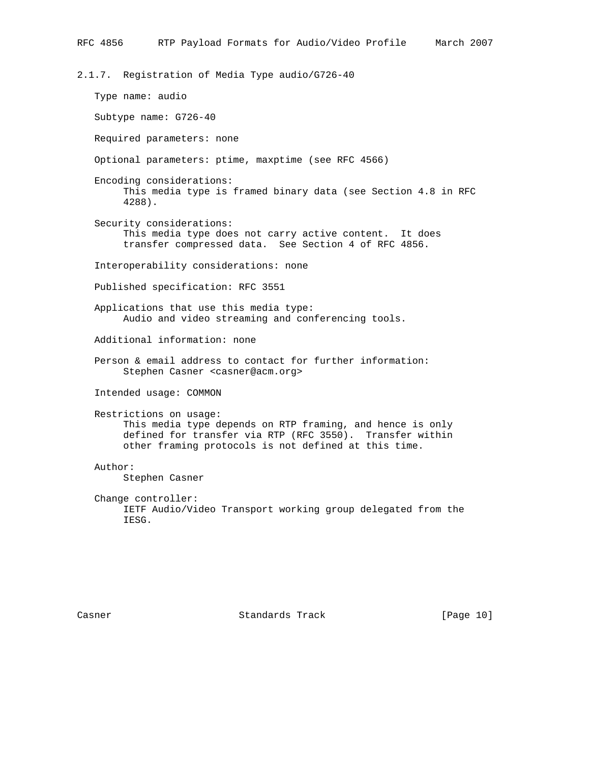2.1.7. Registration of Media Type audio/G726-40

 Type name: audio Subtype name: G726-40 Required parameters: none Optional parameters: ptime, maxptime (see RFC 4566) Encoding considerations: This media type is framed binary data (see Section 4.8 in RFC 4288). Security considerations: This media type does not carry active content. It does transfer compressed data. See Section 4 of RFC 4856. Interoperability considerations: none Published specification: RFC 3551 Applications that use this media type: Audio and video streaming and conferencing tools. Additional information: none Person & email address to contact for further information: Stephen Casner <casner@acm.org> Intended usage: COMMON Restrictions on usage: This media type depends on RTP framing, and hence is only defined for transfer via RTP (RFC 3550). Transfer within other framing protocols is not defined at this time. Author: Stephen Casner Change controller: IETF Audio/Video Transport working group delegated from the IESG.

Casner **Standards Track** [Page 10]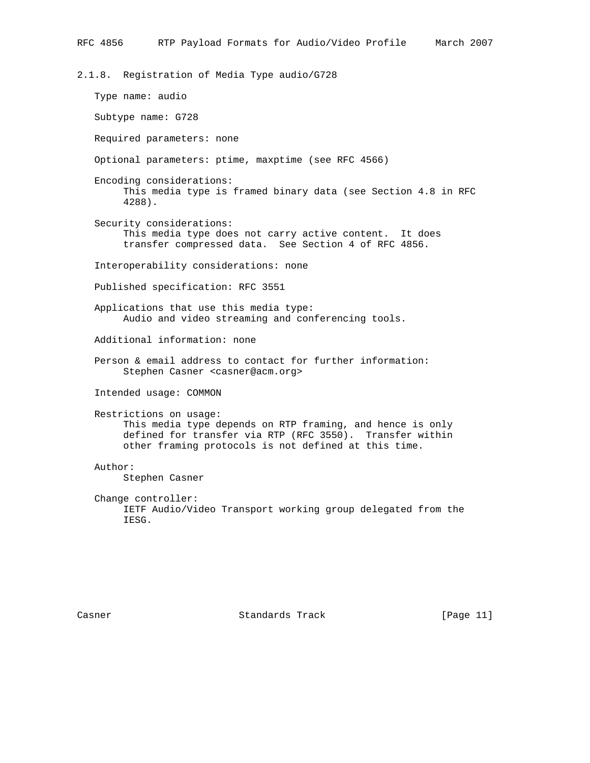2.1.8. Registration of Media Type audio/G728

 Type name: audio Subtype name: G728 Required parameters: none Optional parameters: ptime, maxptime (see RFC 4566) Encoding considerations: This media type is framed binary data (see Section 4.8 in RFC 4288). Security considerations: This media type does not carry active content. It does transfer compressed data. See Section 4 of RFC 4856. Interoperability considerations: none Published specification: RFC 3551 Applications that use this media type: Audio and video streaming and conferencing tools. Additional information: none Person & email address to contact for further information: Stephen Casner <casner@acm.org> Intended usage: COMMON Restrictions on usage: This media type depends on RTP framing, and hence is only defined for transfer via RTP (RFC 3550). Transfer within other framing protocols is not defined at this time. Author: Stephen Casner Change controller: IETF Audio/Video Transport working group delegated from the IESG.

Casner **Standards Track** [Page 11]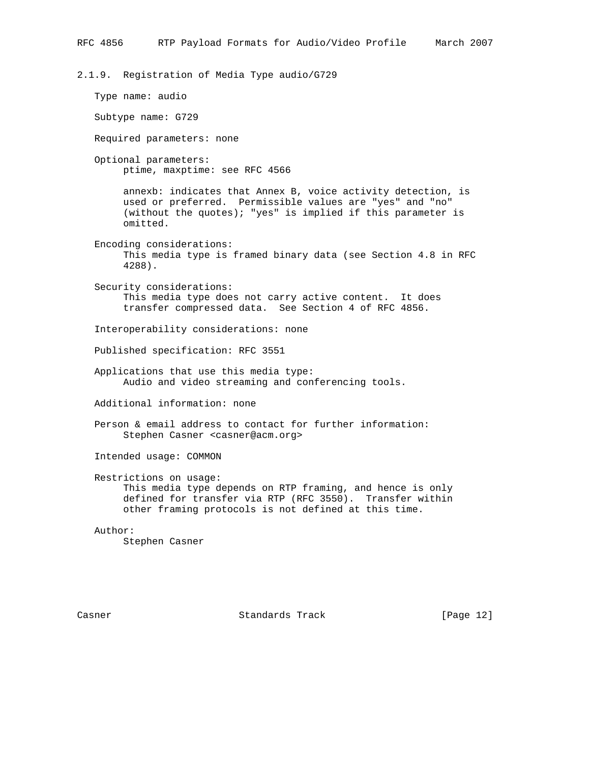2.1.9. Registration of Media Type audio/G729

 Type name: audio Subtype name: G729 Required parameters: none Optional parameters: ptime, maxptime: see RFC 4566 annexb: indicates that Annex B, voice activity detection, is used or preferred. Permissible values are "yes" and "no" (without the quotes); "yes" is implied if this parameter is omitted. Encoding considerations: This media type is framed binary data (see Section 4.8 in RFC 4288). Security considerations: This media type does not carry active content. It does transfer compressed data. See Section 4 of RFC 4856. Interoperability considerations: none Published specification: RFC 3551 Applications that use this media type: Audio and video streaming and conferencing tools. Additional information: none Person & email address to contact for further information: Stephen Casner <casner@acm.org> Intended usage: COMMON Restrictions on usage: This media type depends on RTP framing, and hence is only defined for transfer via RTP (RFC 3550). Transfer within other framing protocols is not defined at this time. Author: Stephen Casner

Casner **Standards Track** [Page 12]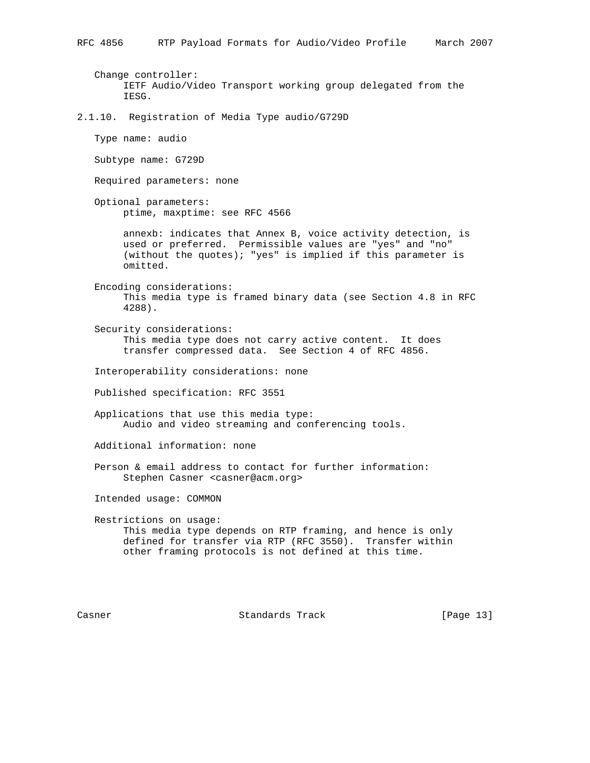Change controller: IETF Audio/Video Transport working group delegated from the IESG.

2.1.10. Registration of Media Type audio/G729D

Type name: audio

Subtype name: G729D

Required parameters: none

 Optional parameters: ptime, maxptime: see RFC 4566

> annexb: indicates that Annex B, voice activity detection, is used or preferred. Permissible values are "yes" and "no" (without the quotes); "yes" is implied if this parameter is omitted.

 Encoding considerations: This media type is framed binary data (see Section 4.8 in RFC 4288).

 Security considerations: This media type does not carry active content. It does transfer compressed data. See Section 4 of RFC 4856.

Interoperability considerations: none

Published specification: RFC 3551

 Applications that use this media type: Audio and video streaming and conferencing tools.

Additional information: none

 Person & email address to contact for further information: Stephen Casner <casner@acm.org>

Intended usage: COMMON

 Restrictions on usage: This media type depends on RTP framing, and hence is only defined for transfer via RTP (RFC 3550). Transfer within other framing protocols is not defined at this time.

Casner **Standards Track** [Page 13]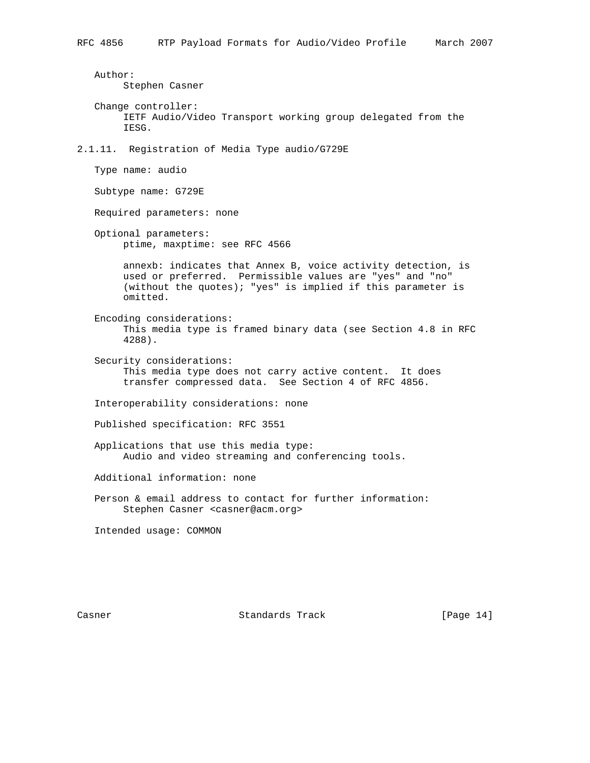Author: Stephen Casner Change controller: IETF Audio/Video Transport working group delegated from the IESG. 2.1.11. Registration of Media Type audio/G729E Type name: audio Subtype name: G729E Required parameters: none Optional parameters: ptime, maxptime: see RFC 4566 annexb: indicates that Annex B, voice activity detection, is used or preferred. Permissible values are "yes" and "no" (without the quotes); "yes" is implied if this parameter is omitted. Encoding considerations: This media type is framed binary data (see Section 4.8 in RFC 4288). Security considerations: This media type does not carry active content. It does transfer compressed data. See Section 4 of RFC 4856. Interoperability considerations: none Published specification: RFC 3551 Applications that use this media type: Audio and video streaming and conferencing tools. Additional information: none Person & email address to contact for further information: Stephen Casner <casner@acm.org>

Intended usage: COMMON

Casner **Standards Track** [Page 14]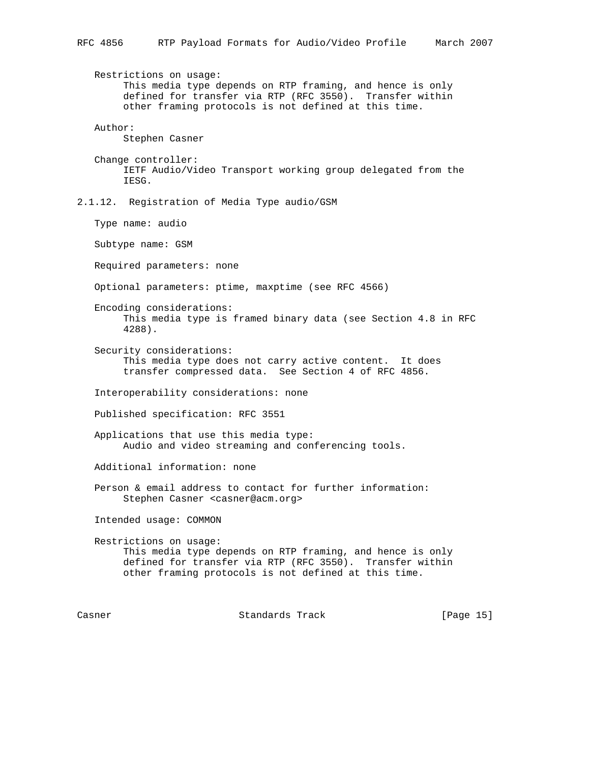Restrictions on usage: This media type depends on RTP framing, and hence is only defined for transfer via RTP (RFC 3550). Transfer within other framing protocols is not defined at this time. Author: Stephen Casner Change controller: IETF Audio/Video Transport working group delegated from the

2.1.12. Registration of Media Type audio/GSM

Type name: audio

IESG.

Subtype name: GSM

Required parameters: none

Optional parameters: ptime, maxptime (see RFC 4566)

 Encoding considerations: This media type is framed binary data (see Section 4.8 in RFC 4288).

 Security considerations: This media type does not carry active content. It does transfer compressed data. See Section 4 of RFC 4856.

Interoperability considerations: none

Published specification: RFC 3551

 Applications that use this media type: Audio and video streaming and conferencing tools.

Additional information: none

 Person & email address to contact for further information: Stephen Casner <casner@acm.org>

Intended usage: COMMON

 Restrictions on usage: This media type depends on RTP framing, and hence is only defined for transfer via RTP (RFC 3550). Transfer within other framing protocols is not defined at this time.

Casner **Standards Track** [Page 15]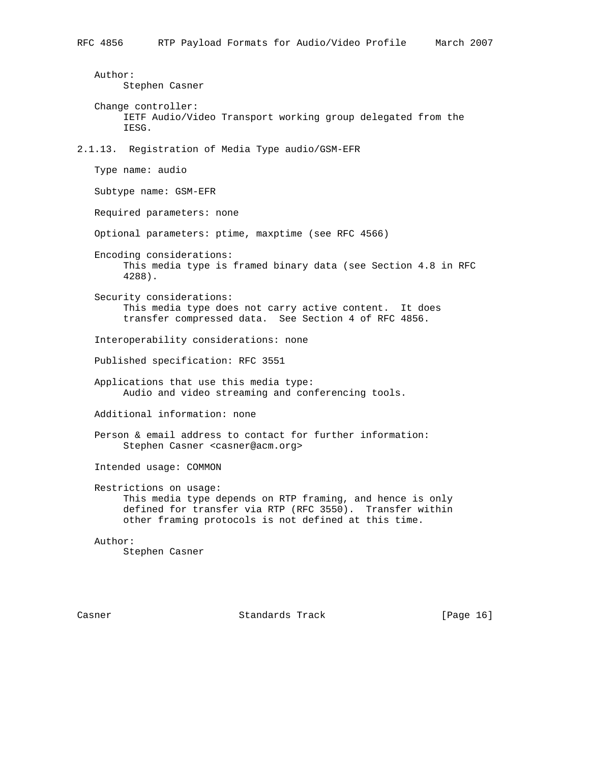Author: Stephen Casner Change controller: IETF Audio/Video Transport working group delegated from the IESG. 2.1.13. Registration of Media Type audio/GSM-EFR Type name: audio Subtype name: GSM-EFR Required parameters: none Optional parameters: ptime, maxptime (see RFC 4566) Encoding considerations: This media type is framed binary data (see Section 4.8 in RFC 4288). Security considerations: This media type does not carry active content. It does transfer compressed data. See Section 4 of RFC 4856. Interoperability considerations: none Published specification: RFC 3551 Applications that use this media type: Audio and video streaming and conferencing tools. Additional information: none Person & email address to contact for further information: Stephen Casner <casner@acm.org> Intended usage: COMMON Restrictions on usage: This media type depends on RTP framing, and hence is only defined for transfer via RTP (RFC 3550). Transfer within other framing protocols is not defined at this time. Author: Stephen Casner

Casner **Standards Track** [Page 16]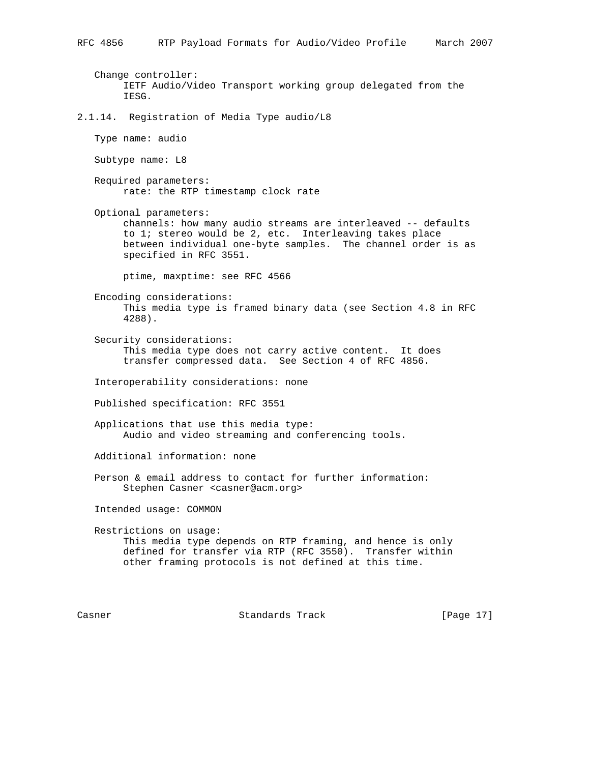Change controller: IETF Audio/Video Transport working group delegated from the IESG. 2.1.14. Registration of Media Type audio/L8 Type name: audio Subtype name: L8 Required parameters: rate: the RTP timestamp clock rate Optional parameters: channels: how many audio streams are interleaved -- defaults to 1; stereo would be 2, etc. Interleaving takes place between individual one-byte samples. The channel order is as specified in RFC 3551. ptime, maxptime: see RFC 4566 Encoding considerations: This media type is framed binary data (see Section 4.8 in RFC 4288). Security considerations: This media type does not carry active content. It does transfer compressed data. See Section 4 of RFC 4856. Interoperability considerations: none Published specification: RFC 3551 Applications that use this media type: Audio and video streaming and conferencing tools. Additional information: none Person & email address to contact for further information: Stephen Casner <casner@acm.org> Intended usage: COMMON Restrictions on usage: This media type depends on RTP framing, and hence is only defined for transfer via RTP (RFC 3550). Transfer within other framing protocols is not defined at this time.

Casner **Standards Track** [Page 17]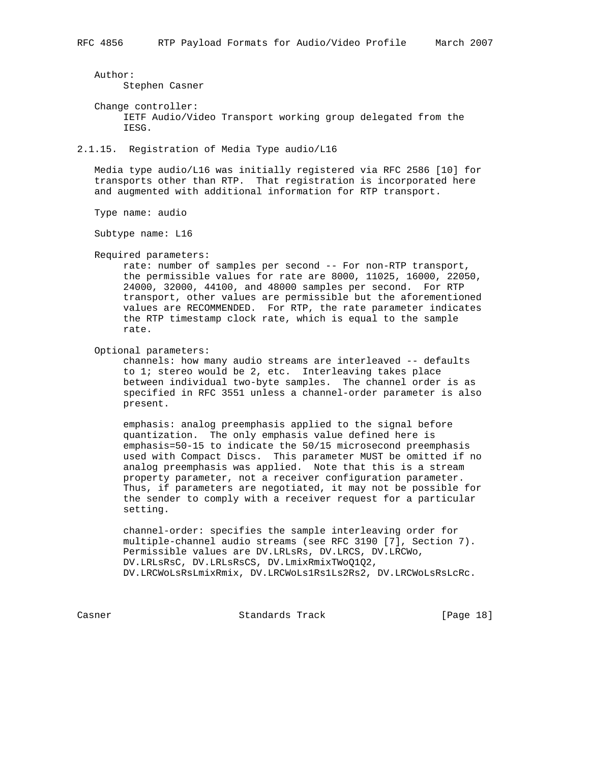Author:

Stephen Casner

 Change controller: IETF Audio/Video Transport working group delegated from the IESG.

2.1.15. Registration of Media Type audio/L16

 Media type audio/L16 was initially registered via RFC 2586 [10] for transports other than RTP. That registration is incorporated here and augmented with additional information for RTP transport.

Type name: audio

Subtype name: L16

Required parameters:

 rate: number of samples per second -- For non-RTP transport, the permissible values for rate are 8000, 11025, 16000, 22050, 24000, 32000, 44100, and 48000 samples per second. For RTP transport, other values are permissible but the aforementioned values are RECOMMENDED. For RTP, the rate parameter indicates the RTP timestamp clock rate, which is equal to the sample rate.

Optional parameters:

 channels: how many audio streams are interleaved -- defaults to 1; stereo would be 2, etc. Interleaving takes place between individual two-byte samples. The channel order is as specified in RFC 3551 unless a channel-order parameter is also present.

 emphasis: analog preemphasis applied to the signal before quantization. The only emphasis value defined here is emphasis=50-15 to indicate the 50/15 microsecond preemphasis used with Compact Discs. This parameter MUST be omitted if no analog preemphasis was applied. Note that this is a stream property parameter, not a receiver configuration parameter. Thus, if parameters are negotiated, it may not be possible for the sender to comply with a receiver request for a particular setting.

 channel-order: specifies the sample interleaving order for multiple-channel audio streams (see RFC 3190 [7], Section 7). Permissible values are DV.LRLsRs, DV.LRCS, DV.LRCWo, DV.LRLsRsC, DV.LRLsRsCS, DV.LmixRmixTWoQ1Q2, DV.LRCWoLsRsLmixRmix, DV.LRCWoLs1Rs1Ls2Rs2, DV.LRCWoLsRsLcRc.

Casner **Standards Track** [Page 18]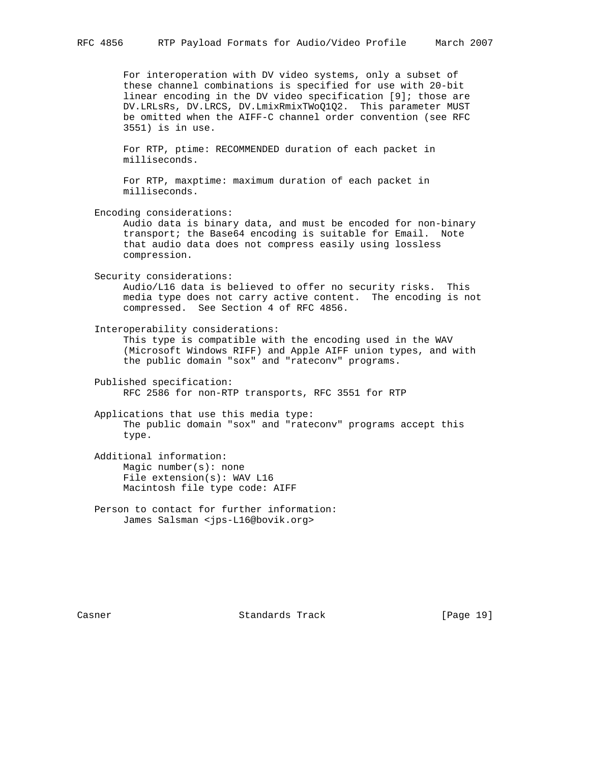For interoperation with DV video systems, only a subset of these channel combinations is specified for use with 20-bit linear encoding in the DV video specification [9]; those are DV.LRLsRs, DV.LRCS, DV.LmixRmixTWoQ1Q2. This parameter MUST be omitted when the AIFF-C channel order convention (see RFC 3551) is in use.

 For RTP, ptime: RECOMMENDED duration of each packet in milliseconds.

 For RTP, maxptime: maximum duration of each packet in milliseconds.

 Encoding considerations: Audio data is binary data, and must be encoded for non-binary transport; the Base64 encoding is suitable for Email. Note that audio data does not compress easily using lossless compression.

 Security considerations: Audio/L16 data is believed to offer no security risks. This media type does not carry active content. The encoding is not compressed. See Section 4 of RFC 4856.

 Interoperability considerations: This type is compatible with the encoding used in the WAV (Microsoft Windows RIFF) and Apple AIFF union types, and with the public domain "sox" and "rateconv" programs.

 Published specification: RFC 2586 for non-RTP transports, RFC 3551 for RTP

 Applications that use this media type: The public domain "sox" and "rateconv" programs accept this type.

 Additional information: Magic number(s): none File extension(s): WAV L16 Macintosh file type code: AIFF

 Person to contact for further information: James Salsman <jps-L16@bovik.org>

Casner **Standards Track** [Page 19]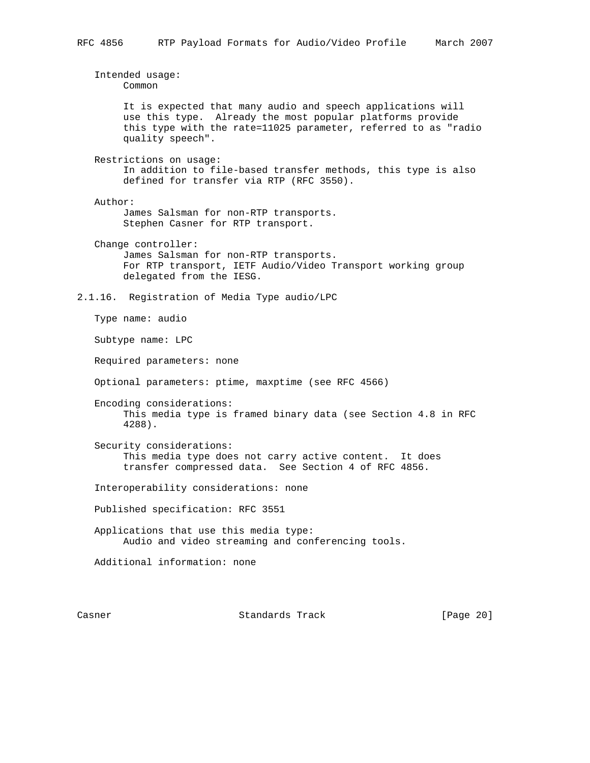Intended usage: Common It is expected that many audio and speech applications will use this type. Already the most popular platforms provide this type with the rate=11025 parameter, referred to as "radio quality speech". Restrictions on usage: In addition to file-based transfer methods, this type is also defined for transfer via RTP (RFC 3550). Author: James Salsman for non-RTP transports. Stephen Casner for RTP transport. Change controller: James Salsman for non-RTP transports. For RTP transport, IETF Audio/Video Transport working group delegated from the IESG. 2.1.16. Registration of Media Type audio/LPC Type name: audio Subtype name: LPC Required parameters: none Optional parameters: ptime, maxptime (see RFC 4566) Encoding considerations: This media type is framed binary data (see Section 4.8 in RFC 4288). Security considerations: This media type does not carry active content. It does transfer compressed data. See Section 4 of RFC 4856. Interoperability considerations: none Published specification: RFC 3551 Applications that use this media type: Audio and video streaming and conferencing tools. Additional information: none

Casner **Standards Track** [Page 20]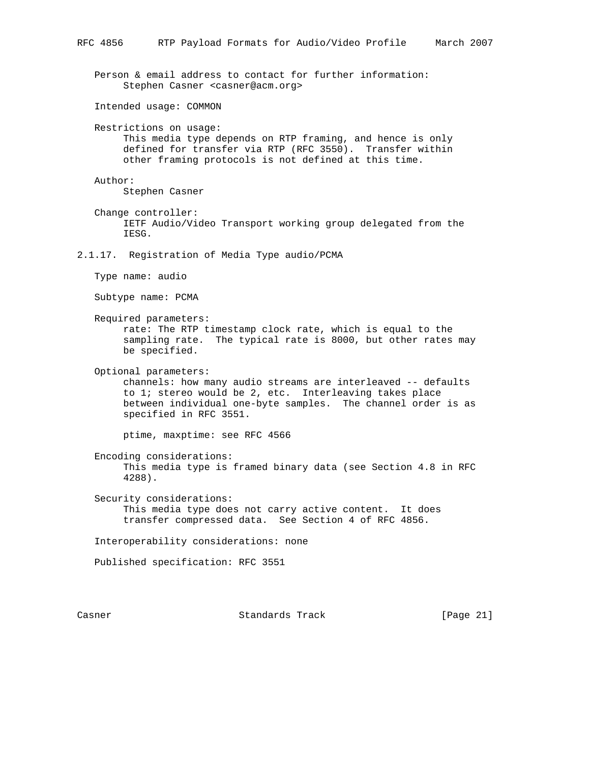Person & email address to contact for further information: Stephen Casner <casner@acm.org>

Intended usage: COMMON

 Restrictions on usage: This media type depends on RTP framing, and hence is only defined for transfer via RTP (RFC 3550). Transfer within other framing protocols is not defined at this time.

Author:

Stephen Casner

 Change controller: IETF Audio/Video Transport working group delegated from the IESG.

2.1.17. Registration of Media Type audio/PCMA

Type name: audio

Subtype name: PCMA

Required parameters:

 rate: The RTP timestamp clock rate, which is equal to the sampling rate. The typical rate is 8000, but other rates may be specified.

Optional parameters:

 channels: how many audio streams are interleaved -- defaults to 1; stereo would be 2, etc. Interleaving takes place between individual one-byte samples. The channel order is as specified in RFC 3551.

ptime, maxptime: see RFC 4566

 Encoding considerations: This media type is framed binary data (see Section 4.8 in RFC 4288).

 Security considerations: This media type does not carry active content. It does transfer compressed data. See Section 4 of RFC 4856.

Interoperability considerations: none

Published specification: RFC 3551

Casner **Standards Track** [Page 21]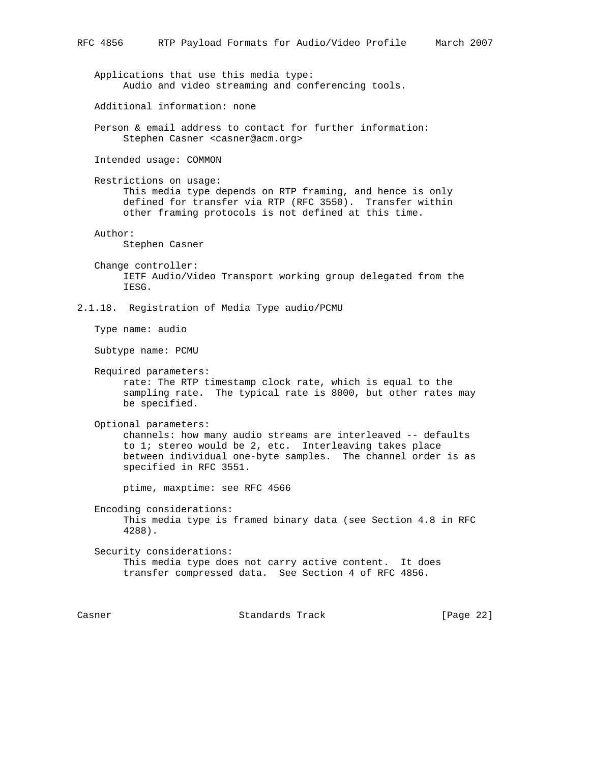Applications that use this media type: Audio and video streaming and conferencing tools. Additional information: none Person & email address to contact for further information: Stephen Casner <casner@acm.org> Intended usage: COMMON Restrictions on usage: This media type depends on RTP framing, and hence is only defined for transfer via RTP (RFC 3550). Transfer within other framing protocols is not defined at this time. Author: Stephen Casner Change controller: IETF Audio/Video Transport working group delegated from the IESG. 2.1.18. Registration of Media Type audio/PCMU Type name: audio Subtype name: PCMU Required parameters: rate: The RTP timestamp clock rate, which is equal to the sampling rate. The typical rate is 8000, but other rates may be specified. Optional parameters: channels: how many audio streams are interleaved -- defaults to 1; stereo would be 2, etc. Interleaving takes place between individual one-byte samples. The channel order is as specified in RFC 3551. ptime, maxptime: see RFC 4566 Encoding considerations: This media type is framed binary data (see Section 4.8 in RFC 4288). Security considerations: This media type does not carry active content. It does transfer compressed data. See Section 4 of RFC 4856.

Casner **Standards Track** [Page 22]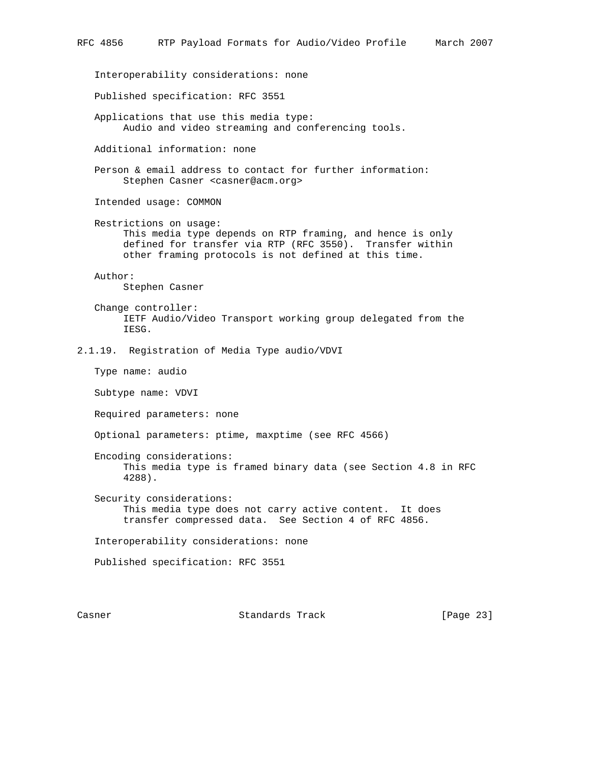Interoperability considerations: none Published specification: RFC 3551 Applications that use this media type: Audio and video streaming and conferencing tools. Additional information: none Person & email address to contact for further information: Stephen Casner <casner@acm.org> Intended usage: COMMON Restrictions on usage: This media type depends on RTP framing, and hence is only defined for transfer via RTP (RFC 3550). Transfer within other framing protocols is not defined at this time. Author: Stephen Casner Change controller: IETF Audio/Video Transport working group delegated from the IESG. 2.1.19. Registration of Media Type audio/VDVI Type name: audio Subtype name: VDVI Required parameters: none Optional parameters: ptime, maxptime (see RFC 4566) Encoding considerations: This media type is framed binary data (see Section 4.8 in RFC 4288). Security considerations: This media type does not carry active content. It does transfer compressed data. See Section 4 of RFC 4856. Interoperability considerations: none Published specification: RFC 3551

Casner **Standards Track** [Page 23]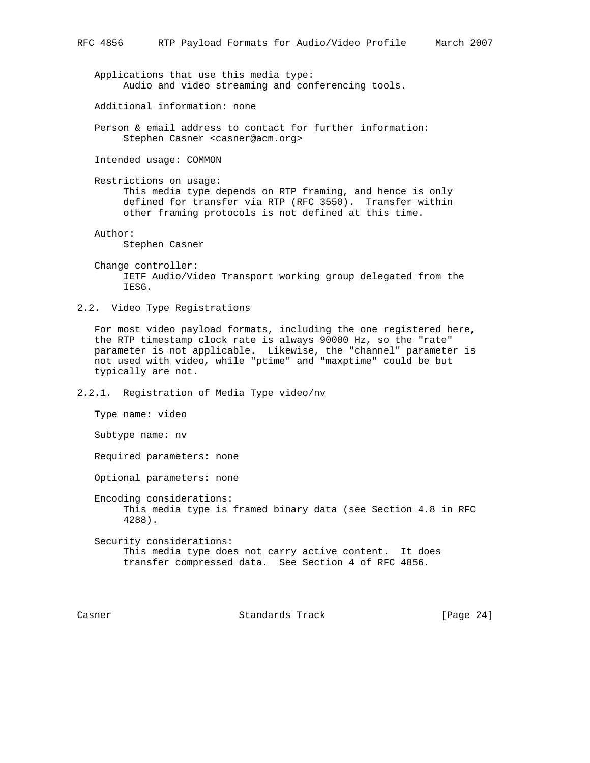Applications that use this media type: Audio and video streaming and conferencing tools.

Additional information: none

 Person & email address to contact for further information: Stephen Casner <casner@acm.org>

Intended usage: COMMON

 Restrictions on usage: This media type depends on RTP framing, and hence is only defined for transfer via RTP (RFC 3550). Transfer within other framing protocols is not defined at this time.

Author:

Stephen Casner

 Change controller: IETF Audio/Video Transport working group delegated from the IESG.

2.2. Video Type Registrations

 For most video payload formats, including the one registered here, the RTP timestamp clock rate is always 90000 Hz, so the "rate" parameter is not applicable. Likewise, the "channel" parameter is not used with video, while "ptime" and "maxptime" could be but typically are not.

2.2.1. Registration of Media Type video/nv

Type name: video

Subtype name: nv

Required parameters: none

Optional parameters: none

 Encoding considerations: This media type is framed binary data (see Section 4.8 in RFC 4288).

 Security considerations: This media type does not carry active content. It does transfer compressed data. See Section 4 of RFC 4856.

Casner Standards Track [Page 24]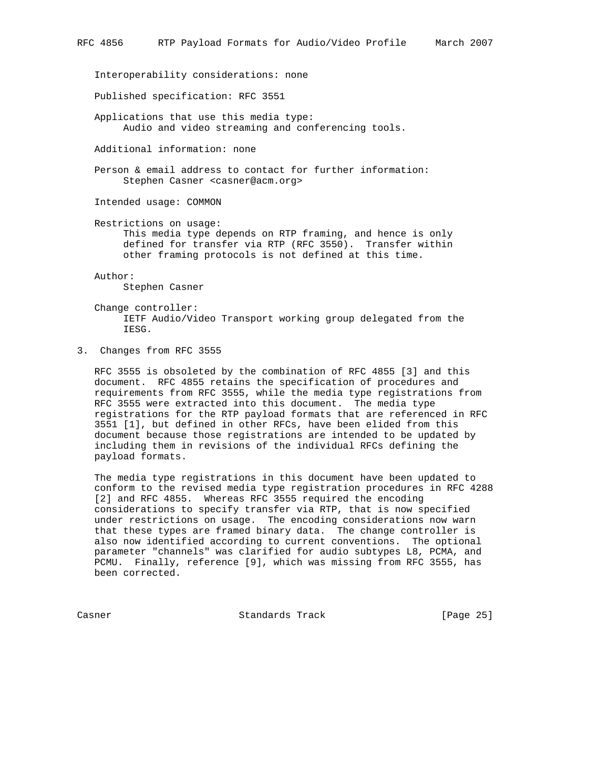Interoperability considerations: none

Published specification: RFC 3551

 Applications that use this media type: Audio and video streaming and conferencing tools.

Additional information: none

 Person & email address to contact for further information: Stephen Casner <casner@acm.org>

Intended usage: COMMON

Restrictions on usage:

 This media type depends on RTP framing, and hence is only defined for transfer via RTP (RFC 3550). Transfer within other framing protocols is not defined at this time.

 Author: Stephen Casner

 Change controller: IETF Audio/Video Transport working group delegated from the IESG.

3. Changes from RFC 3555

 RFC 3555 is obsoleted by the combination of RFC 4855 [3] and this document. RFC 4855 retains the specification of procedures and requirements from RFC 3555, while the media type registrations from RFC 3555 were extracted into this document. The media type registrations for the RTP payload formats that are referenced in RFC 3551 [1], but defined in other RFCs, have been elided from this document because those registrations are intended to be updated by including them in revisions of the individual RFCs defining the payload formats.

 The media type registrations in this document have been updated to conform to the revised media type registration procedures in RFC 4288 [2] and RFC 4855. Whereas RFC 3555 required the encoding considerations to specify transfer via RTP, that is now specified under restrictions on usage. The encoding considerations now warn that these types are framed binary data. The change controller is also now identified according to current conventions. The optional parameter "channels" was clarified for audio subtypes L8, PCMA, and PCMU. Finally, reference [9], which was missing from RFC 3555, has been corrected.

Casner **Standards Track** [Page 25]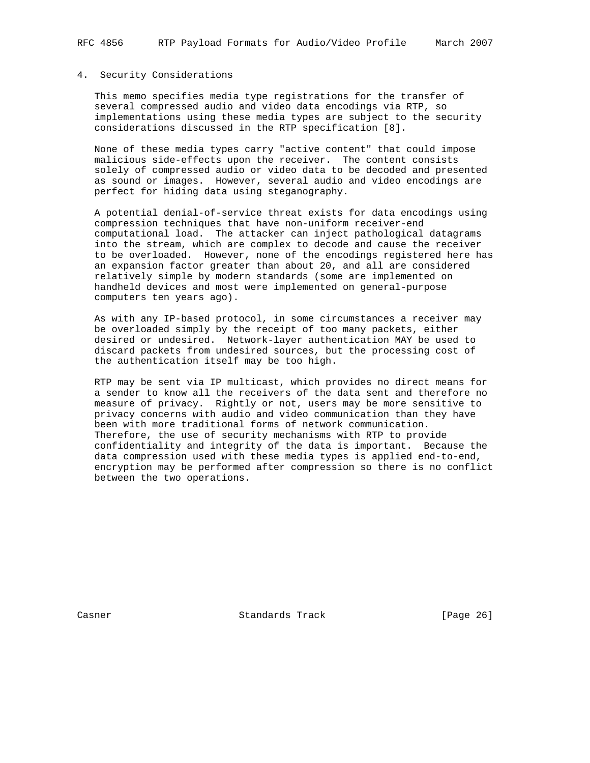### 4. Security Considerations

 This memo specifies media type registrations for the transfer of several compressed audio and video data encodings via RTP, so implementations using these media types are subject to the security considerations discussed in the RTP specification [8].

 None of these media types carry "active content" that could impose malicious side-effects upon the receiver. The content consists solely of compressed audio or video data to be decoded and presented as sound or images. However, several audio and video encodings are perfect for hiding data using steganography.

 A potential denial-of-service threat exists for data encodings using compression techniques that have non-uniform receiver-end computational load. The attacker can inject pathological datagrams into the stream, which are complex to decode and cause the receiver to be overloaded. However, none of the encodings registered here has an expansion factor greater than about 20, and all are considered relatively simple by modern standards (some are implemented on handheld devices and most were implemented on general-purpose computers ten years ago).

 As with any IP-based protocol, in some circumstances a receiver may be overloaded simply by the receipt of too many packets, either desired or undesired. Network-layer authentication MAY be used to discard packets from undesired sources, but the processing cost of the authentication itself may be too high.

 RTP may be sent via IP multicast, which provides no direct means for a sender to know all the receivers of the data sent and therefore no measure of privacy. Rightly or not, users may be more sensitive to privacy concerns with audio and video communication than they have been with more traditional forms of network communication. Therefore, the use of security mechanisms with RTP to provide confidentiality and integrity of the data is important. Because the data compression used with these media types is applied end-to-end, encryption may be performed after compression so there is no conflict between the two operations.

Casner **Standards Track** [Page 26]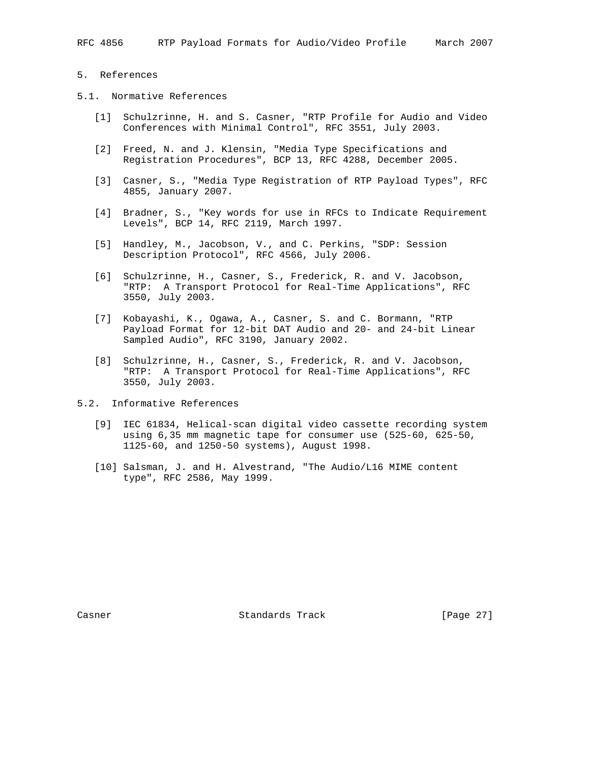### 5. References

- 5.1. Normative References
	- [1] Schulzrinne, H. and S. Casner, "RTP Profile for Audio and Video Conferences with Minimal Control", RFC 3551, July 2003.
	- [2] Freed, N. and J. Klensin, "Media Type Specifications and Registration Procedures", BCP 13, RFC 4288, December 2005.
	- [3] Casner, S., "Media Type Registration of RTP Payload Types", RFC 4855, January 2007.
	- [4] Bradner, S., "Key words for use in RFCs to Indicate Requirement Levels", BCP 14, RFC 2119, March 1997.
	- [5] Handley, M., Jacobson, V., and C. Perkins, "SDP: Session Description Protocol", RFC 4566, July 2006.
	- [6] Schulzrinne, H., Casner, S., Frederick, R. and V. Jacobson, "RTP: A Transport Protocol for Real-Time Applications", RFC 3550, July 2003.
	- [7] Kobayashi, K., Ogawa, A., Casner, S. and C. Bormann, "RTP Payload Format for 12-bit DAT Audio and 20- and 24-bit Linear Sampled Audio", RFC 3190, January 2002.
	- [8] Schulzrinne, H., Casner, S., Frederick, R. and V. Jacobson, "RTP: A Transport Protocol for Real-Time Applications", RFC 3550, July 2003.
- 5.2. Informative References
	- [9] IEC 61834, Helical-scan digital video cassette recording system using 6,35 mm magnetic tape for consumer use (525-60, 625-50, 1125-60, and 1250-50 systems), August 1998.
	- [10] Salsman, J. and H. Alvestrand, "The Audio/L16 MIME content type", RFC 2586, May 1999.

Casner **Standards Track** [Page 27]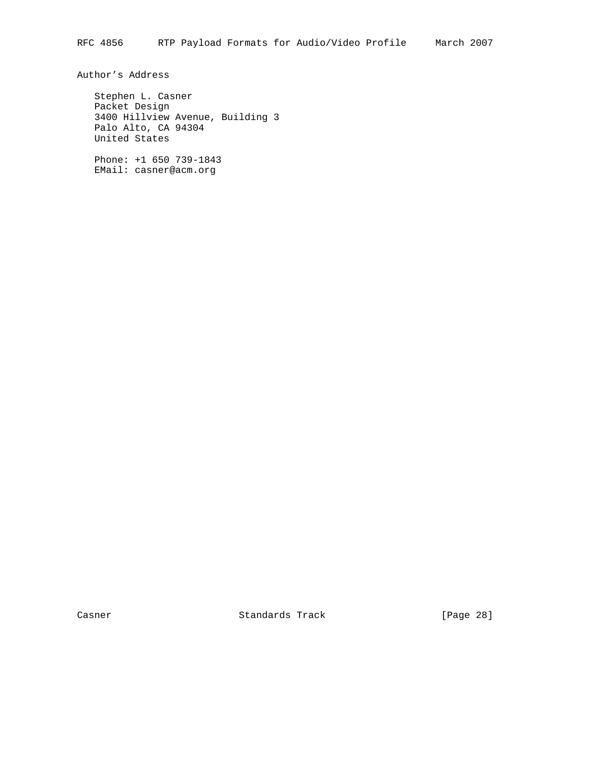Author's Address

 Stephen L. Casner Packet Design 3400 Hillview Avenue, Building 3 Palo Alto, CA 94304 United States

 Phone: +1 650 739-1843 EMail: casner@acm.org

Casner Standards Track [Page 28]